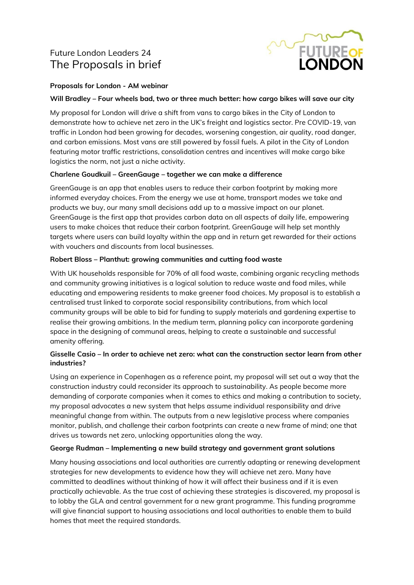## Future London Leaders 24 The Proposals in brief



### **Proposals for London - AM webinar**

#### **Will Bradley – Four wheels bad, two or three much better: how cargo bikes will save our city**

My proposal for London will drive a shift from vans to cargo bikes in the City of London to demonstrate how to achieve net zero in the UK's freight and logistics sector. Pre COVID-19, van traffic in London had been growing for decades, worsening congestion, air quality, road danger, and carbon emissions. Most vans are still powered by fossil fuels. A pilot in the City of London featuring motor traffic restrictions, consolidation centres and incentives will make cargo bike logistics the norm, not just a niche activity.

### **Charlene Goudkuil – GreenGauge – together we can make a difference**

GreenGauge is an app that enables users to reduce their carbon footprint by making more informed everyday choices. From the energy we use at home, transport modes we take and products we buy, our many small decisions add up to a massive impact on our planet. GreenGauge is the first app that provides carbon data on all aspects of daily life, empowering users to make choices that reduce their carbon footprint. GreenGauge will help set monthly targets where users can build loyalty within the app and in return get rewarded for their actions with vouchers and discounts from local businesses.

#### **Robert Bloss – Planthut: growing communities and cutting food waste**

With UK households responsible for 70% of all food waste, combining organic recycling methods and community growing initiatives is a logical solution to reduce waste and food miles, while educating and empowering residents to make greener food choices. My proposal is to establish a centralised trust linked to corporate social responsibility contributions, from which local community groups will be able to bid for funding to supply materials and gardening expertise to realise their growing ambitions. In the medium term, planning policy can incorporate gardening space in the designing of communal areas, helping to create a sustainable and successful amenity offering.

### **Gisselle Casio – In order to achieve net zero: what can the construction sector learn from other industries?**

Using an experience in Copenhagen as a reference point, my proposal will set out a way that the construction industry could reconsider its approach to sustainability. As people become more demanding of corporate companies when it comes to ethics and making a contribution to society, my proposal advocates a new system that helps assume individual responsibility and drive meaningful change from within. The outputs from a new legislative process where companies monitor, publish, and challenge their carbon footprints can create a new frame of mind; one that drives us towards net zero, unlocking opportunities along the way.

### **George Rudman – Implementing a new build strategy and government grant solutions**

Many housing associations and local authorities are currently adapting or renewing development strategies for new developments to evidence how they will achieve net zero. Many have committed to deadlines without thinking of how it will affect their business and if it is even practically achievable. As the true cost of achieving these strategies is discovered, my proposal is to lobby the GLA and central government for a new grant programme. This funding programme will give financial support to housing associations and local authorities to enable them to build homes that meet the required standards.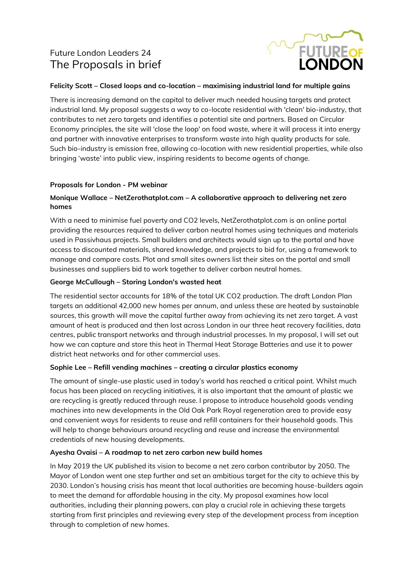# Future London Leaders 24 The Proposals in brief



### **Felicity Scott – Closed loops and co-location – maximising industrial land for multiple gains**

There is increasing demand on the capital to deliver much needed housing targets and protect industrial land. My proposal suggests a way to co-locate residential with 'clean' bio-industry, that contributes to net zero targets and identifies a potential site and partners. Based on Circular Economy principles, the site will 'close the loop' on food waste, where it will process it into energy and partner with innovative enterprises to transform waste into high quality products for sale. Such bio-industry is emission free, allowing co-location with new residential properties, while also bringing 'waste' into public view, inspiring residents to become agents of change.

### **Proposals for London - PM webinar**

### **Monique Wallace – NetZerothatplot.com – A collaborative approach to delivering net zero homes**

With a need to minimise fuel poverty and CO2 levels, NetZerothatplot.com is an online portal providing the resources required to deliver carbon neutral homes using techniques and materials used in Passivhaus projects. Small builders and architects would sign up to the portal and have access to discounted materials, shared knowledge, and projects to bid for, using a framework to manage and compare costs. Plot and small sites owners list their sites on the portal and small businesses and suppliers bid to work together to deliver carbon neutral homes.

### **George McCullough – Storing London's wasted heat**

The residential sector accounts for 18% of the total UK CO2 production. The draft London Plan targets an additional 42,000 new homes per annum, and unless these are heated by sustainable sources, this growth will move the capital further away from achieving its net zero target. A vast amount of heat is produced and then lost across London in our three heat recovery facilities, data centres, public transport networks and through industrial processes. In my proposal, I will set out how we can capture and store this heat in Thermal Heat Storage Batteries and use it to power district heat networks and for other commercial uses.

### **Sophie Lee – Refill vending machines – creating a circular plastics economy**

The amount of single-use plastic used in today's world has reached a critical point. Whilst much focus has been placed on recycling initiatives, it is also important that the amount of plastic we are recycling is greatly reduced through reuse. I propose to introduce household goods vending machines into new developments in the Old Oak Park Royal regeneration area to provide easy and convenient ways for residents to reuse and refill containers for their household goods. This will help to change behaviours around recycling and reuse and increase the environmental credentials of new housing developments.

### **Ayesha Ovaisi – A roadmap to net zero carbon new build homes**

In May 2019 the UK published its vision to become a net zero carbon contributor by 2050. The Mayor of London went one step further and set an ambitious target for the city to achieve this by 2030. London's housing crisis has meant that local authorities are becoming house-builders again to meet the demand for affordable housing in the city. My proposal examines how local authorities, including their planning powers, can play a crucial role in achieving these targets starting from first principles and reviewing every step of the development process from inception through to completion of new homes.